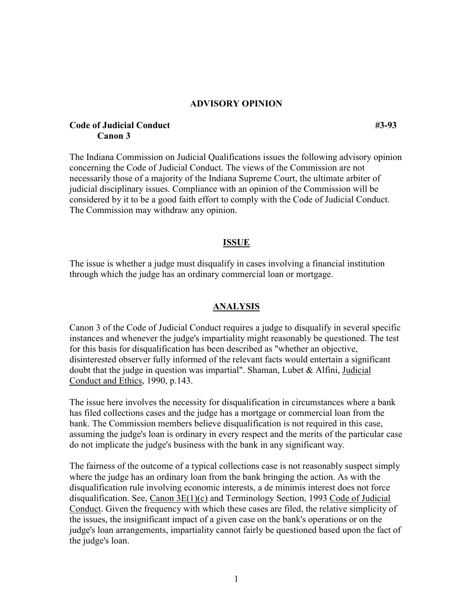### **ADVISORY OPINION**

# **Code of Judicial Conduct** #3-93 **Canon 3**

The Indiana Commission on Judicial Qualifications issues the following advisory opinion concerning the Code of Judicial Conduct. The views of the Commission are not necessarily those of a majority of the Indiana Supreme Court, the ultimate arbiter of judicial disciplinary issues. Compliance with an opinion of the Commission will be considered by it to be a good faith effort to comply with the Code of Judicial Conduct. The Commission may withdraw any opinion.

#### **ISSUE**

The issue is whether a judge must disqualify in cases involving a financial institution through which the judge has an ordinary commercial loan or mortgage.

#### **ANALYSIS**

Canon 3 of the Code of Judicial Conduct requires a judge to disqualify in several specific instances and whenever the judge's impartiality might reasonably be questioned. The test for this basis for disqualification has been described as "whether an objective, disinterested observer fully informed of the relevant facts would entertain a significant doubt that the judge in question was impartial". Shaman, Lubet & Alfini, Judicial Conduct and Ethics, 1990, p.143.

The issue here involves the necessity for disqualification in circumstances where a bank has filed collections cases and the judge has a mortgage or commercial loan from the bank. The Commission members believe disqualification is not required in this case, assuming the judge's loan is ordinary in every respect and the merits of the particular case do not implicate the judge's business with the bank in any significant way.

The fairness of the outcome of a typical collections case is not reasonably suspect simply where the judge has an ordinary loan from the bank bringing the action. As with the disqualification rule involving economic interests, a de minimis interest does not force disqualification. See, Canon 3E(1)(c) and Terminology Section, 1993 Code of Judicial Conduct. Given the frequency with which these cases are filed, the relative simplicity of the issues, the insignificant impact of a given case on the bank's operations or on the judge's loan arrangements, impartiality cannot fairly be questioned based upon the fact of the judge's loan.